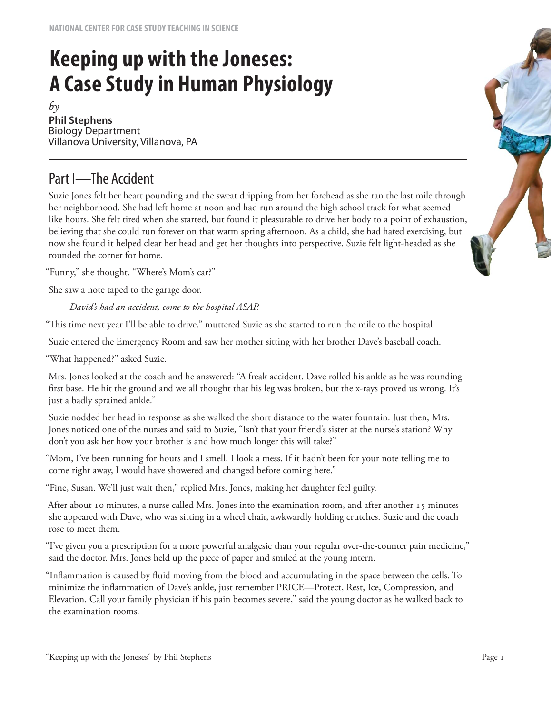# **Keeping up with the Joneses: A Case Study in Human Physiology**

*by* **Phil Stephens** Biology Department Villanova University, Villanova, PA

# Part I—The Accident

Suzie Jones felt her heart pounding and the sweat dripping from her forehead as she ran the last mile through her neighborhood. She had left home at noon and had run around the high school track for what seemed like hours. She felt tired when she started, but found it pleasurable to drive her body to a point of exhaustion, believing that she could run forever on that warm spring afternoon. As a child, she had hated exercising, but now she found it helped clear her head and get her thoughts into perspective. Suzie felt light-headed as she rounded the corner for home.

"Funny," she thought. "Where's Mom's car?"

She saw a note taped to the garage door.

*David's had an accident, come to the hospital ASAP.*

"This time next year I'll be able to drive," muttered Suzie as she started to run the mile to the hospital.

Suzie entered the Emergency Room and saw her mother sitting with her brother Dave's baseball coach.

"What happened?" asked Suzie.

Mrs. Jones looked at the coach and he answered: "A freak accident. Dave rolled his ankle as he was rounding first base. He hit the ground and we all thought that his leg was broken, but the x-rays proved us wrong. It's just a badly sprained ankle."

Suzie nodded her head in response as she walked the short distance to the water fountain. Just then, Mrs. Jones noticed one of the nurses and said to Suzie, "Isn't that your friend's sister at the nurse's station? Why don't you ask her how your brother is and how much longer this will take?"

"Mom, I've been running for hours and I smell. I look a mess. If it hadn't been for your note telling me to come right away, I would have showered and changed before coming here."

"Fine, Susan. We'll just wait then," replied Mrs. Jones, making her daughter feel guilty.

After about 10 minutes, a nurse called Mrs. Jones into the examination room, and after another 15 minutes she appeared with Dave, who was sitting in a wheel chair, awkwardly holding crutches. Suzie and the coach rose to meet them.

"I've given you a prescription for a more powerful analgesic than your regular over-the-counter pain medicine," said the doctor. Mrs. Jones held up the piece of paper and smiled at the young intern.

"Inflammation is caused by fluid moving from the blood and accumulating in the space between the cells. To minimize the inflammation of Dave's ankle, just remember PRICE—Protect, Rest, Ice, Compression, and Elevation. Call your family physician if his pain becomes severe," said the young doctor as he walked back to the examination rooms.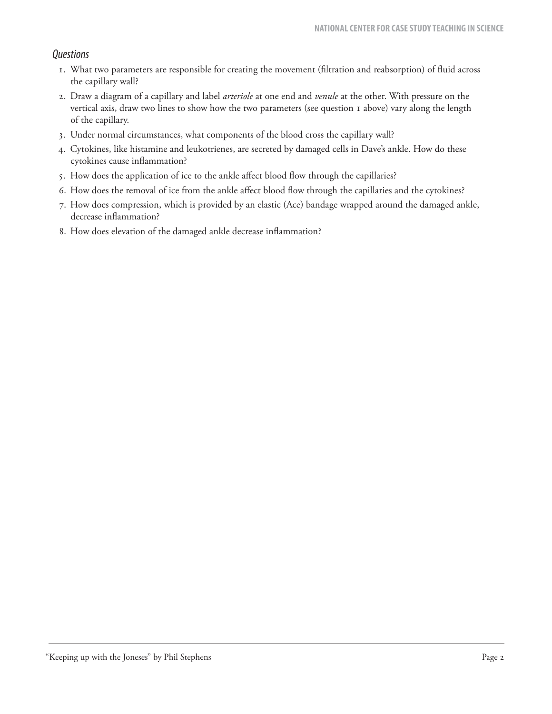### **Questions**

- 1. What two parameters are responsible for creating the movement (filtration and reabsorption) of fluid across the capillary wall?
- 2. Draw a diagram of a capillary and label *arteriole* at one end and *venule* at the other. With pressure on the vertical axis, draw two lines to show how the two parameters (see question 1 above) vary along the length of the capillary.
- 3. Under normal circumstances, what components of the blood cross the capillary wall?
- 4. Cytokines, like histamine and leukotrienes, are secreted by damaged cells in Dave's ankle. How do these cytokines cause inflammation?
- 5. How does the application of ice to the ankle affect blood flow through the capillaries?
- 6. How does the removal of ice from the ankle affect blood flow through the capillaries and the cytokines?
- 7. How does compression, which is provided by an elastic (Ace) bandage wrapped around the damaged ankle, decrease inflammation?
- 8. How does elevation of the damaged ankle decrease inflammation?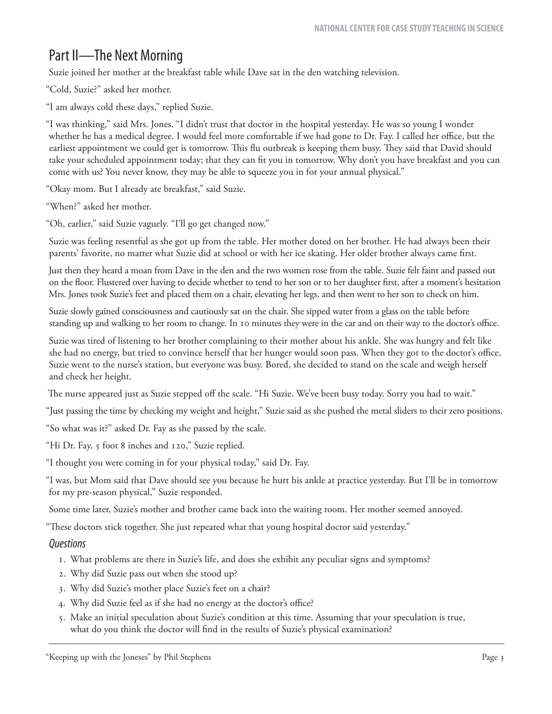# Part II—The Next Morning

Suzie joined her mother at the breakfast table while Dave sat in the den watching television.

"Cold, Suzie?" asked her mother.

"I am always cold these days," replied Suzie.

"I was thinking," said Mrs. Jones. "I didn't trust that doctor in the hospital yesterday. He was so young I wonder whether he has a medical degree. I would feel more comfortable if we had gone to Dr. Fay. I called her office, but the earliest appointment we could get is tomorrow. This flu outbreak is keeping them busy. They said that David should take your scheduled appointment today; that they can fit you in tomorrow. Why don't you have breakfast and you can come with us? You never know, they may be able to squeeze you in for your annual physical."

"Okay mom. But I already ate breakfast," said Suzie.

"When?" asked her mother.

"Oh, earlier," said Suzie vaguely. "I'll go get changed now."

Suzie was feeling resentful as she got up from the table. Her mother doted on her brother. He had always been their parents' favorite, no matter what Suzie did at school or with her ice skating. Her older brother always came first.

Just then they heard a moan from Dave in the den and the two women rose from the table. Suzie felt faint and passed out on the floor. Flustered over having to decide whether to tend to her son or to her daughter first, after a moment's hesitation Mrs. Jones took Suzie's feet and placed them on a chair, elevating her legs, and then went to her son to check on him.

Suzie slowly gained consciousness and cautiously sat on the chair. She sipped water from a glass on the table before standing up and walking to her room to change. In 10 minutes they were in the car and on their way to the doctor's office.

Suzie was tired of listening to her brother complaining to their mother about his ankle. She was hungry and felt like she had no energy, but tried to convince herself that her hunger would soon pass. When they got to the doctor's office, Suzie went to the nurse's station, but everyone was busy. Bored, she decided to stand on the scale and weigh herself and check her height.

The nurse appeared just as Suzie stepped off the scale. "Hi Suzie. We've been busy today. Sorry you had to wait."

"Just passing the time by checking my weight and height," Suzie said as she pushed the metal sliders to their zero positions.

"So what was it?" asked Dr. Fay as she passed by the scale.

"Hi Dr. Fay, 5 foot 8 inches and 120," Suzie replied.

"I thought you were coming in for your physical today," said Dr. Fay.

"I was, but Mom said that Dave should see you because he hurt his ankle at practice yesterday. But I'll be in tomorrow for my pre-season physical," Suzie responded.

Some time later, Suzie's mother and brother came back into the waiting room. Her mother seemed annoyed.

 $\lq$ These doctors stick together. She just repeated what that young hospital doctor said yesterday."

**Ouestions** 

- 1. What problems are there in Suzie's life, and does she exhibit any peculiar signs and symptoms?
- 2. Why did Suzie pass out when she stood up?
- 3. Why did Suzie's mother place Suzie's feet on a chair?
- 4. Why did Suzie feel as if she had no energy at the doctor's office?
- 5. Make an initial speculation about Suzie's condition at this time. Assuming that your speculation is true, what do you think the doctor will find in the results of Suzie's physical examination?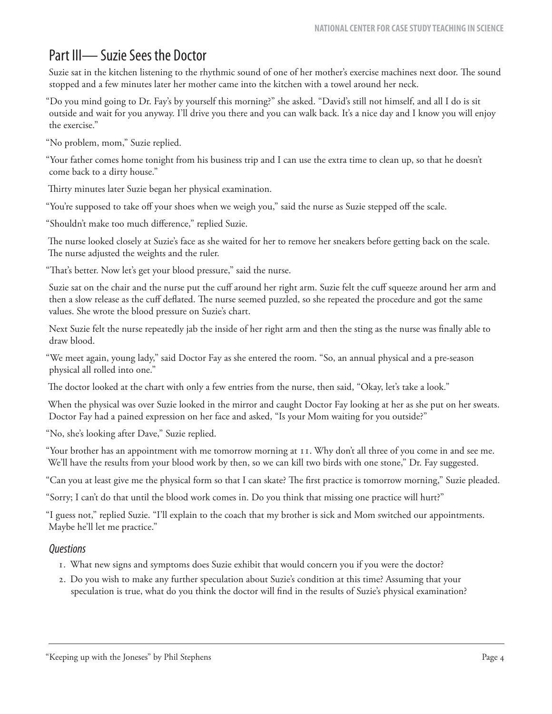### Part III— Suzie Sees the Doctor

Suzie sat in the kitchen listening to the rhythmic sound of one of her mother's exercise machines next door. The sound stopped and a few minutes later her mother came into the kitchen with a towel around her neck.

"Do you mind going to Dr. Fay's by yourself this morning?" she asked. "David's still not himself, and all I do is sit outside and wait for you anyway. I'll drive you there and you can walk back. It's a nice day and I know you will enjoy the exercise."

"No problem, mom," Suzie replied.

"Your father comes home tonight from his business trip and I can use the extra time to clean up, so that he doesn't come back to a dirty house."

Thirty minutes later Suzie began her physical examination.

"You're supposed to take off your shoes when we weigh you," said the nurse as Suzie stepped off the scale.

"Shouldn't make too much difference," replied Suzie.

The nurse looked closely at Suzie's face as she waited for her to remove her sneakers before getting back on the scale. The nurse adjusted the weights and the ruler.

"That's better. Now let's get your blood pressure," said the nurse.

Suzie sat on the chair and the nurse put the cuff around her right arm. Suzie felt the cuff squeeze around her arm and then a slow release as the cuff deflated. The nurse seemed puzzled, so she repeated the procedure and got the same values. She wrote the blood pressure on Suzie's chart.

Next Suzie felt the nurse repeatedly jab the inside of her right arm and then the sting as the nurse was finally able to draw blood.

"We meet again, young lady," said Doctor Fay as she entered the room. "So, an annual physical and a pre-season physical all rolled into one."

The doctor looked at the chart with only a few entries from the nurse, then said, "Okay, let's take a look."

When the physical was over Suzie looked in the mirror and caught Doctor Fay looking at her as she put on her sweats. Doctor Fay had a pained expression on her face and asked, "Is your Mom waiting for you outside?"

"No, she's looking after Dave," Suzie replied.

"Your brother has an appointment with me tomorrow morning at 11. Why don't all three of you come in and see me. We'll have the results from your blood work by then, so we can kill two birds with one stone," Dr. Fay suggested.

"Can you at least give me the physical form so that I can skate? The first practice is tomorrow morning," Suzie pleaded.

"Sorry; I can't do that until the blood work comes in. Do you think that missing one practice will hurt?"

"I guess not," replied Suzie. "I'll explain to the coach that my brother is sick and Mom switched our appointments. Maybe he'll let me practice."

### **Ouestions**

- 1. What new signs and symptoms does Suzie exhibit that would concern you if you were the doctor?
- 2. Do you wish to make any further speculation about Suzie's condition at this time? Assuming that your speculation is true, what do you think the doctor will find in the results of Suzie's physical examination?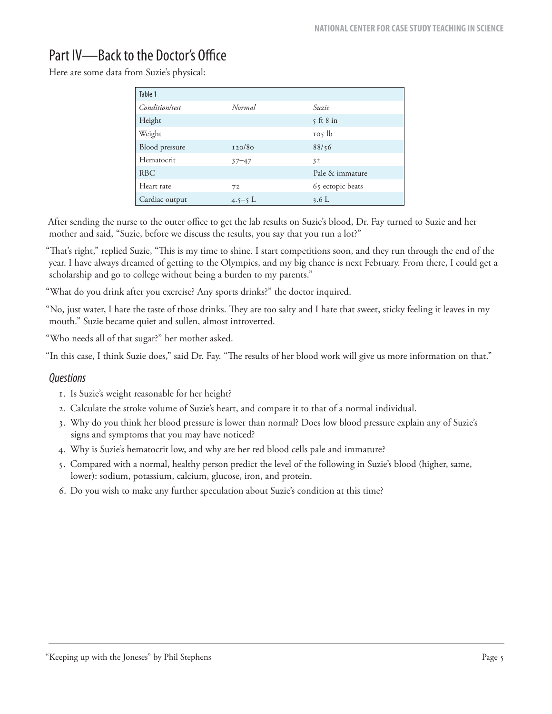# Part IV-Back to the Doctor's Office

Here are some data from Suzie's physical:

| Table 1        |           |                  |
|----------------|-----------|------------------|
| Condition/test | Normal    | <i>Suzie</i>     |
| Height         |           | $5$ ft 8 in      |
| Weight         |           | $\log$ lb        |
| Blood pressure | 120/80    | 88/56            |
| Hematocrit     | $37 - 47$ | 32               |
| <b>RBC</b>     |           | Pale & immature  |
| Heart rate     | 72        | 65 ectopic beats |
| Cardiac output | 4.5–5 L   | 3.6L             |

After sending the nurse to the outer office to get the lab results on Suzie's blood, Dr. Fay turned to Suzie and her mother and said, "Suzie, before we discuss the results, you say that you run a lot?"

"That's right," replied Suzie, "This is my time to shine. I start competitions soon, and they run through the end of the year. I have always dreamed of getting to the Olympics, and my big chance is next February. From there, I could get a scholarship and go to college without being a burden to my parents."

"What do you drink after you exercise? Any sports drinks?" the doctor inquired.

"No, just water, I hate the taste of those drinks. They are too salty and I hate that sweet, sticky feeling it leaves in my mouth." Suzie became quiet and sullen, almost introverted.

"Who needs all of that sugar?" her mother asked.

"In this case, I think Suzie does," said Dr. Fay. "The results of her blood work will give us more information on that."

#### **Questions**

- 1. Is Suzie's weight reasonable for her height?
- 2. Calculate the stroke volume of Suzie's heart, and compare it to that of a normal individual.
- 3. Why do you think her blood pressure is lower than normal? Does low blood pressure explain any of Suzie's signs and symptoms that you may have noticed?
- 4. Why is Suzie's hematocrit low, and why are her red blood cells pale and immature?
- 5. Compared with a normal, healthy person predict the level of the following in Suzie's blood (higher, same, lower): sodium, potassium, calcium, glucose, iron, and protein.
- 6. Do you wish to make any further speculation about Suzie's condition at this time?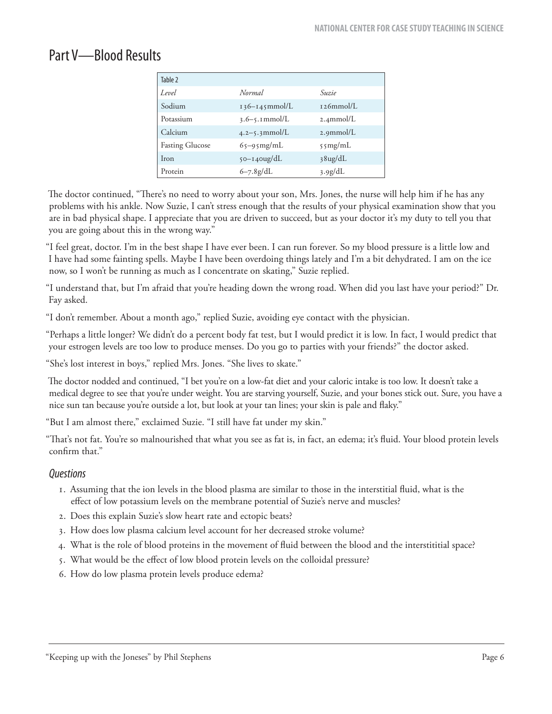### Part V—Blood Results

| Table 2                |                    |              |
|------------------------|--------------------|--------------|
| Level                  | Normal.            | Suzie        |
| Sodium                 | $136 - 145$ mmol/L | I26mmol/L    |
| Potassium              | $3.6 - 5.1$ mmol/L | $2.4$ mmol/L |
| Calcium                | $4.2 - 5.3$ mmol/L | $2.9$ mmol/L |
| <b>Fasting Glucose</b> | $65 - 95$ mg/mL    | $55$ mg/mL   |
| <b>Iron</b>            | $50 - 140$ ug/dL   | $38$ ug/dL   |
| Protein                | $6 - 7.8g/dL$      | 3.9g/dL      |

The doctor continued, "There's no need to worry about your son, Mrs. Jones, the nurse will help him if he has any problems with his ankle. Now Suzie, I can't stress enough that the results of your physical examination show that you are in bad physical shape. I appreciate that you are driven to succeed, but as your doctor it's my duty to tell you that you are going about this in the wrong way."

"I feel great, doctor. I'm in the best shape I have ever been. I can run forever. So my blood pressure is a little low and I have had some fainting spells. Maybe I have been overdoing things lately and I'm a bit dehydrated. I am on the ice now, so I won't be running as much as I concentrate on skating," Suzie replied.

"I understand that, but I'm afraid that you're heading down the wrong road. When did you last have your period?" Dr. Fay asked.

"I don't remember. About a month ago," replied Suzie, avoiding eye contact with the physician.

"Perhaps a little longer? We didn't do a percent body fat test, but I would predict it is low. In fact, I would predict that your estrogen levels are too low to produce menses. Do you go to parties with your friends?" the doctor asked.

"She's lost interest in boys," replied Mrs. Jones. "She lives to skate."

The doctor nodded and continued, "I bet you're on a low-fat diet and your caloric intake is too low. It doesn't take a medical degree to see that you're under weight. You are starving yourself, Suzie, and your bones stick out. Sure, you have a nice sun tan because you're outside a lot, but look at your tan lines; your skin is pale and flaky."

"But I am almost there," exclaimed Suzie. "I still have fat under my skin."

"That's not fat. You're so malnourished that what you see as fat is, in fact, an edema; it's fluid. Your blood protein levels confirm that."

#### **Ouestions**

- 1. Assuming that the ion levels in the blood plasma are similar to those in the interstitial fluid, what is the effect of low potassium levels on the membrane potential of Suzie's nerve and muscles?
- 2. Does this explain Suzie's slow heart rate and ectopic beats?
- 3. How does low plasma calcium level account for her decreased stroke volume?
- 4. What is the role of blood proteins in the movement of fluid between the blood and the interstititial space?
- 5. What would be the effect of low blood protein levels on the colloidal pressure?
- 6. How do low plasma protein levels produce edema?